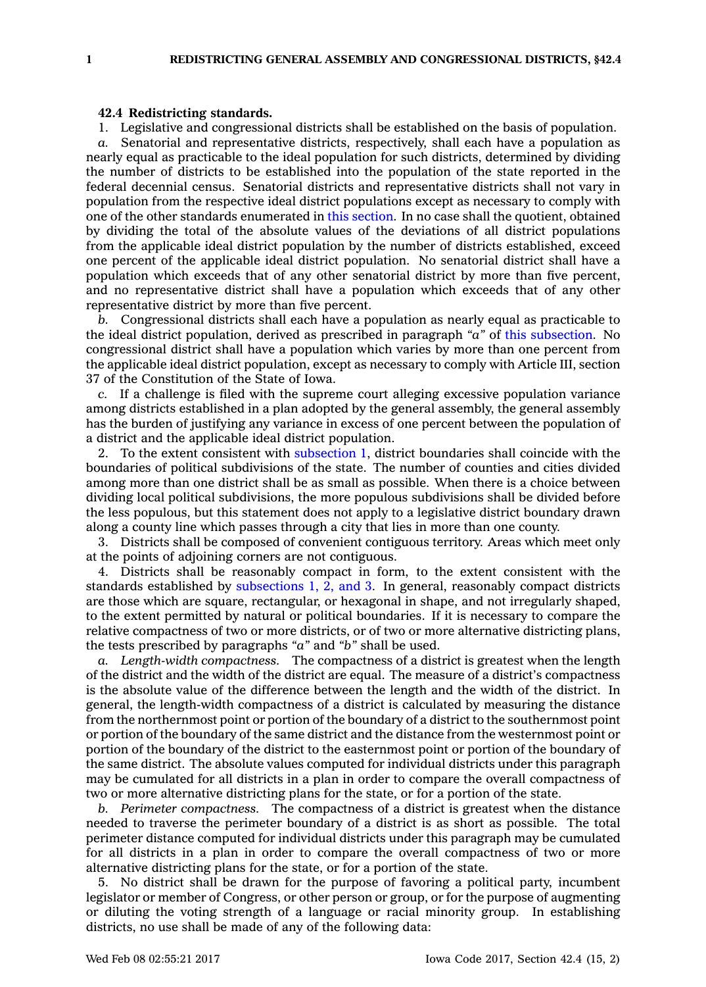## **42.4 Redistricting standards.**

1. Legislative and congressional districts shall be established on the basis of population.

*a.* Senatorial and representative districts, respectively, shall each have <sup>a</sup> population as nearly equal as practicable to the ideal population for such districts, determined by dividing the number of districts to be established into the population of the state reported in the federal decennial census. Senatorial districts and representative districts shall not vary in population from the respective ideal district populations except as necessary to comply with one of the other standards enumerated in this [section](https://www.legis.iowa.gov/docs/code/42.4.pdf). In no case shall the quotient, obtained by dividing the total of the absolute values of the deviations of all district populations from the applicable ideal district population by the number of districts established, exceed one percent of the applicable ideal district population. No senatorial district shall have <sup>a</sup> population which exceeds that of any other senatorial district by more than five percent, and no representative district shall have <sup>a</sup> population which exceeds that of any other representative district by more than five percent.

*b.* Congressional districts shall each have <sup>a</sup> population as nearly equal as practicable to the ideal district population, derived as prescribed in paragraph *"a"* of this [subsection](https://www.legis.iowa.gov/docs/code/42.4.pdf). No congressional district shall have <sup>a</sup> population which varies by more than one percent from the applicable ideal district population, except as necessary to comply with Article III, section 37 of the Constitution of the State of Iowa.

*c.* If <sup>a</sup> challenge is filed with the supreme court alleging excessive population variance among districts established in <sup>a</sup> plan adopted by the general assembly, the general assembly has the burden of justifying any variance in excess of one percent between the population of <sup>a</sup> district and the applicable ideal district population.

2. To the extent consistent with [subsection](https://www.legis.iowa.gov/docs/code/42.4.pdf) 1, district boundaries shall coincide with the boundaries of political subdivisions of the state. The number of counties and cities divided among more than one district shall be as small as possible. When there is <sup>a</sup> choice between dividing local political subdivisions, the more populous subdivisions shall be divided before the less populous, but this statement does not apply to <sup>a</sup> legislative district boundary drawn along <sup>a</sup> county line which passes through <sup>a</sup> city that lies in more than one county.

3. Districts shall be composed of convenient contiguous territory. Areas which meet only at the points of adjoining corners are not contiguous.

4. Districts shall be reasonably compact in form, to the extent consistent with the standards established by [subsections](https://www.legis.iowa.gov/docs/code/42.4.pdf) 1, 2, and 3. In general, reasonably compact districts are those which are square, rectangular, or hexagonal in shape, and not irregularly shaped, to the extent permitted by natural or political boundaries. If it is necessary to compare the relative compactness of two or more districts, or of two or more alternative districting plans, the tests prescribed by paragraphs *"a"* and *"b"* shall be used.

*a. Length-width compactness.* The compactness of <sup>a</sup> district is greatest when the length of the district and the width of the district are equal. The measure of <sup>a</sup> district's compactness is the absolute value of the difference between the length and the width of the district. In general, the length-width compactness of <sup>a</sup> district is calculated by measuring the distance from the northernmost point or portion of the boundary of <sup>a</sup> district to the southernmost point or portion of the boundary of the same district and the distance from the westernmost point or portion of the boundary of the district to the easternmost point or portion of the boundary of the same district. The absolute values computed for individual districts under this paragraph may be cumulated for all districts in <sup>a</sup> plan in order to compare the overall compactness of two or more alternative districting plans for the state, or for <sup>a</sup> portion of the state.

*b. Perimeter compactness.* The compactness of <sup>a</sup> district is greatest when the distance needed to traverse the perimeter boundary of <sup>a</sup> district is as short as possible. The total perimeter distance computed for individual districts under this paragraph may be cumulated for all districts in <sup>a</sup> plan in order to compare the overall compactness of two or more alternative districting plans for the state, or for <sup>a</sup> portion of the state.

5. No district shall be drawn for the purpose of favoring <sup>a</sup> political party, incumbent legislator or member of Congress, or other person or group, or for the purpose of augmenting or diluting the voting strength of <sup>a</sup> language or racial minority group. In establishing districts, no use shall be made of any of the following data: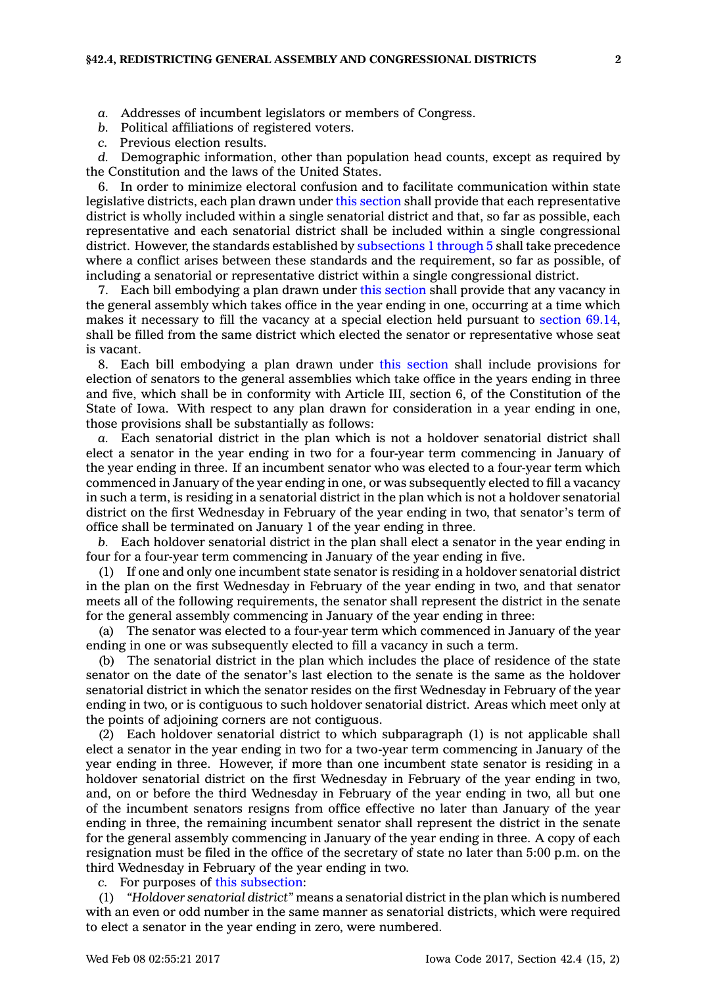- *a.* Addresses of incumbent legislators or members of Congress.
- *b.* Political affiliations of registered voters.
- *c.* Previous election results.

*d.* Demographic information, other than population head counts, except as required by the Constitution and the laws of the United States.

6. In order to minimize electoral confusion and to facilitate communication within state legislative districts, each plan drawn under this [section](https://www.legis.iowa.gov/docs/code/42.4.pdf) shall provide that each representative district is wholly included within <sup>a</sup> single senatorial district and that, so far as possible, each representative and each senatorial district shall be included within <sup>a</sup> single congressional district. However, the standards established by [subsections](https://www.legis.iowa.gov/docs/code/42.4.pdf) 1 through 5 shall take precedence where <sup>a</sup> conflict arises between these standards and the requirement, so far as possible, of including <sup>a</sup> senatorial or representative district within <sup>a</sup> single congressional district.

7. Each bill embodying <sup>a</sup> plan drawn under this [section](https://www.legis.iowa.gov/docs/code/42.4.pdf) shall provide that any vacancy in the general assembly which takes office in the year ending in one, occurring at <sup>a</sup> time which makes it necessary to fill the vacancy at <sup>a</sup> special election held pursuant to [section](https://www.legis.iowa.gov/docs/code/69.14.pdf) 69.14, shall be filled from the same district which elected the senator or representative whose seat is vacant.

8. Each bill embodying <sup>a</sup> plan drawn under this [section](https://www.legis.iowa.gov/docs/code/42.4.pdf) shall include provisions for election of senators to the general assemblies which take office in the years ending in three and five, which shall be in conformity with Article III, section 6, of the Constitution of the State of Iowa. With respect to any plan drawn for consideration in <sup>a</sup> year ending in one, those provisions shall be substantially as follows:

*a.* Each senatorial district in the plan which is not <sup>a</sup> holdover senatorial district shall elect <sup>a</sup> senator in the year ending in two for <sup>a</sup> four-year term commencing in January of the year ending in three. If an incumbent senator who was elected to <sup>a</sup> four-year term which commenced in January of the year ending in one, or was subsequently elected to fill <sup>a</sup> vacancy in such <sup>a</sup> term, is residing in <sup>a</sup> senatorial district in the plan which is not <sup>a</sup> holdover senatorial district on the first Wednesday in February of the year ending in two, that senator's term of office shall be terminated on January 1 of the year ending in three.

*b.* Each holdover senatorial district in the plan shall elect <sup>a</sup> senator in the year ending in four for <sup>a</sup> four-year term commencing in January of the year ending in five.

(1) If one and only one incumbent state senator is residing in <sup>a</sup> holdover senatorial district in the plan on the first Wednesday in February of the year ending in two, and that senator meets all of the following requirements, the senator shall represent the district in the senate for the general assembly commencing in January of the year ending in three:

(a) The senator was elected to <sup>a</sup> four-year term which commenced in January of the year ending in one or was subsequently elected to fill <sup>a</sup> vacancy in such <sup>a</sup> term.

(b) The senatorial district in the plan which includes the place of residence of the state senator on the date of the senator's last election to the senate is the same as the holdover senatorial district in which the senator resides on the first Wednesday in February of the year ending in two, or is contiguous to such holdover senatorial district. Areas which meet only at the points of adjoining corners are not contiguous.

(2) Each holdover senatorial district to which subparagraph (1) is not applicable shall elect <sup>a</sup> senator in the year ending in two for <sup>a</sup> two-year term commencing in January of the year ending in three. However, if more than one incumbent state senator is residing in <sup>a</sup> holdover senatorial district on the first Wednesday in February of the year ending in two, and, on or before the third Wednesday in February of the year ending in two, all but one of the incumbent senators resigns from office effective no later than January of the year ending in three, the remaining incumbent senator shall represent the district in the senate for the general assembly commencing in January of the year ending in three. A copy of each resignation must be filed in the office of the secretary of state no later than 5:00 p.m. on the third Wednesday in February of the year ending in two.

*c.* For purposes of this [subsection](https://www.legis.iowa.gov/docs/code/42.4.pdf):

(1) *"Holdover senatorial district"* means <sup>a</sup> senatorial district in the plan which is numbered with an even or odd number in the same manner as senatorial districts, which were required to elect <sup>a</sup> senator in the year ending in zero, were numbered.